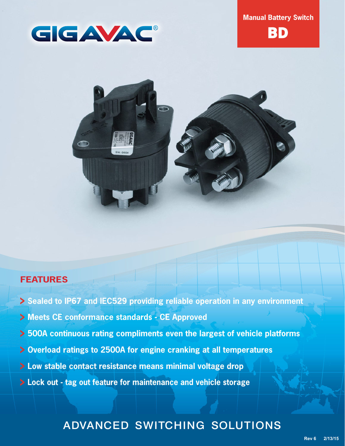



**BD** 



# **FEATURES**

- **Sealed to IP67 and IEC529 providing reliable operation in any environment**
- **Meets CE conformance standards CE Approved**
- **500A continuous rating compliments even the largest of vehicle platforms**
- **Overload ratings to 2500A for engine cranking at all temperatures**
- **Low stable contact resistance means minimal voltage drop**
- **Lock out tag out feature for maintenance and vehicle storage**

# ADVANCED SWITCHING SOLUTIONS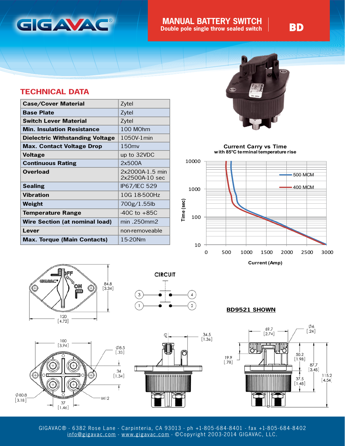

### **BD** MANUAL BATTERY SWITCH **BD**<br> **BD Double pole single throw sealed switch**

### **TECHNICAL DATA**

| <b>Case/Cover Material</b>            | Zytel                             |  |
|---------------------------------------|-----------------------------------|--|
| <b>Base Plate</b>                     | Zytel                             |  |
| <b>Switch Lever Material</b>          | Zytel                             |  |
| <b>Min. Insulation Resistance</b>     | 100 MOhm                          |  |
| Dielectric Withstanding Voltage       | 1050V-1 min                       |  |
| <b>Max. Contact Voltage Drop</b>      | 150 <sub>mv</sub>                 |  |
| <b>Voltage</b>                        | up to 32VDC                       |  |
| <b>Continuous Rating</b>              | 2x500A                            |  |
| <b>Overload</b>                       | 2x2000A-1.5 min<br>2x2500A-10 sec |  |
| <b>Sealing</b>                        | IP67/IEC 529                      |  |
| Vibration                             | 10G 18-500Hz                      |  |
| Weight                                | 700g/1.55lb                       |  |
| <b>Temperature Range</b>              | $-40C$ to $+85C$                  |  |
| <b>Wire Section (at nominal load)</b> | min .250mm2                       |  |
| Lever                                 | non-removeable                    |  |
| <b>Max. Torque (Main Contacts)</b>    | 15-20Nm                           |  |



**Current Carry vs Time with 85°C terminal temperature rise**















GIGAVAC® - 6382 Rose Lane - Carpinteria, CA 93013 - ph +1-805-684-8401 - fax +1-805-684-8402 [info@gigavac.com](mailto:info%40gigavac.com?subject=) - [www.gigavac.com](http://www.gigavac.com) - ©Copyright 2003-2014 GIGAVAC, LLC.